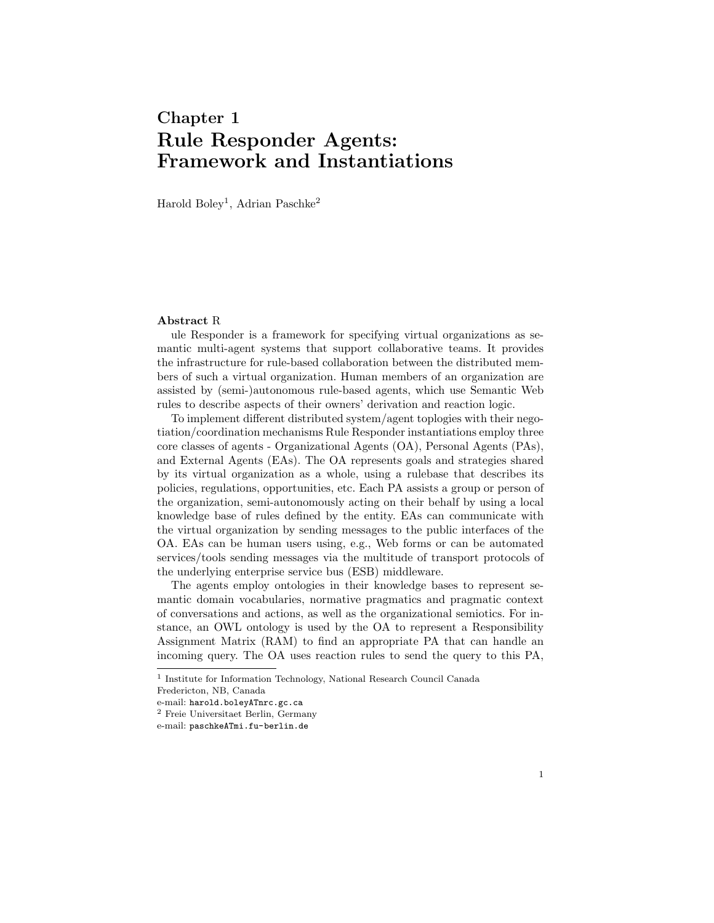Harold Boley<sup>1</sup>, Adrian Paschke<sup>2</sup>

#### Abstract R

ule Responder is a framework for specifying virtual organizations as semantic multi-agent systems that support collaborative teams. It provides the infrastructure for rule-based collaboration between the distributed members of such a virtual organization. Human members of an organization are assisted by (semi-)autonomous rule-based agents, which use Semantic Web rules to describe aspects of their owners' derivation and reaction logic.

To implement different distributed system/agent toplogies with their negotiation/coordination mechanisms Rule Responder instantiations employ three core classes of agents - Organizational Agents (OA), Personal Agents (PAs), and External Agents (EAs). The OA represents goals and strategies shared by its virtual organization as a whole, using a rulebase that describes its policies, regulations, opportunities, etc. Each PA assists a group or person of the organization, semi-autonomously acting on their behalf by using a local knowledge base of rules defined by the entity. EAs can communicate with the virtual organization by sending messages to the public interfaces of the OA. EAs can be human users using, e.g., Web forms or can be automated services/tools sending messages via the multitude of transport protocols of the underlying enterprise service bus (ESB) middleware.

The agents employ ontologies in their knowledge bases to represent semantic domain vocabularies, normative pragmatics and pragmatic context of conversations and actions, as well as the organizational semiotics. For instance, an OWL ontology is used by the OA to represent a Responsibility Assignment Matrix (RAM) to find an appropriate PA that can handle an incoming query. The OA uses reaction rules to send the query to this PA,

<sup>&</sup>lt;sup>1</sup> Institute for Information Technology, National Research Council Canada

Fredericton, NB, Canada

e-mail: harold.boleyATnrc.gc.ca

<sup>2</sup> Freie Universitaet Berlin, Germany

e-mail: paschkeATmi.fu-berlin.de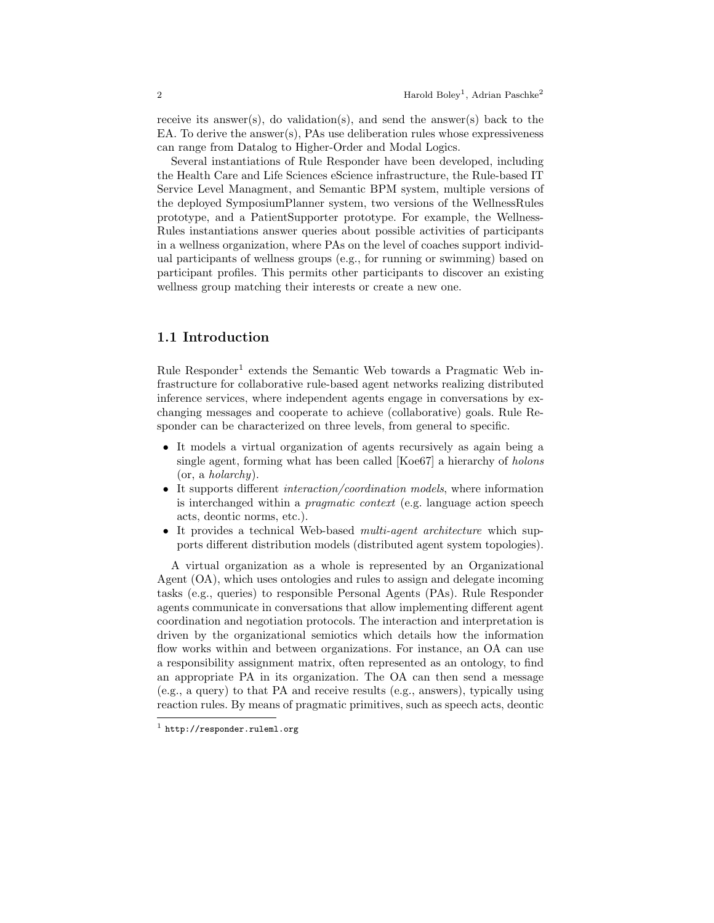receive its answer(s), do validation(s), and send the answer(s) back to the EA. To derive the answer(s), PAs use deliberation rules whose expressiveness can range from Datalog to Higher-Order and Modal Logics.

Several instantiations of Rule Responder have been developed, including the Health Care and Life Sciences eScience infrastructure, the Rule-based IT Service Level Managment, and Semantic BPM system, multiple versions of the deployed SymposiumPlanner system, two versions of the WellnessRules prototype, and a PatientSupporter prototype. For example, the Wellness-Rules instantiations answer queries about possible activities of participants in a wellness organization, where PAs on the level of coaches support individual participants of wellness groups (e.g., for running or swimming) based on participant profiles. This permits other participants to discover an existing wellness group matching their interests or create a new one.

#### 1.1 Introduction

Rule Responder<sup>1</sup> extends the Semantic Web towards a Pragmatic Web infrastructure for collaborative rule-based agent networks realizing distributed inference services, where independent agents engage in conversations by exchanging messages and cooperate to achieve (collaborative) goals. Rule Responder can be characterized on three levels, from general to specific.

- It models a virtual organization of agents recursively as again being a single agent, forming what has been called [Koe67] a hierarchy of holons (or, a holarchy).
- It supports different *interaction/coordination models*, where information is interchanged within a pragmatic context (e.g. language action speech acts, deontic norms, etc.).
- It provides a technical Web-based multi-agent architecture which supports different distribution models (distributed agent system topologies).

A virtual organization as a whole is represented by an Organizational Agent (OA), which uses ontologies and rules to assign and delegate incoming tasks (e.g., queries) to responsible Personal Agents (PAs). Rule Responder agents communicate in conversations that allow implementing different agent coordination and negotiation protocols. The interaction and interpretation is driven by the organizational semiotics which details how the information flow works within and between organizations. For instance, an OA can use a responsibility assignment matrix, often represented as an ontology, to find an appropriate PA in its organization. The OA can then send a message (e.g., a query) to that PA and receive results (e.g., answers), typically using reaction rules. By means of pragmatic primitives, such as speech acts, deontic

<sup>1</sup> http://responder.ruleml.org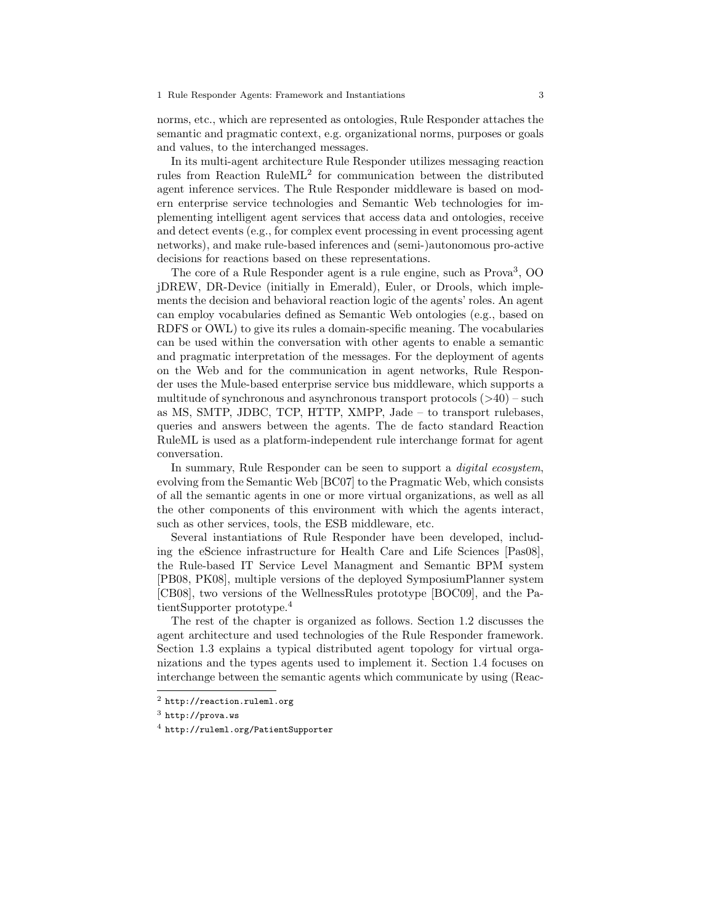norms, etc., which are represented as ontologies, Rule Responder attaches the semantic and pragmatic context, e.g. organizational norms, purposes or goals and values, to the interchanged messages.

In its multi-agent architecture Rule Responder utilizes messaging reaction rules from Reaction RuleML<sup>2</sup> for communication between the distributed agent inference services. The Rule Responder middleware is based on modern enterprise service technologies and Semantic Web technologies for implementing intelligent agent services that access data and ontologies, receive and detect events (e.g., for complex event processing in event processing agent networks), and make rule-based inferences and (semi-)autonomous pro-active decisions for reactions based on these representations.

The core of a Rule Responder agent is a rule engine, such as  $Prova<sup>3</sup>$ , OO jDREW, DR-Device (initially in Emerald), Euler, or Drools, which implements the decision and behavioral reaction logic of the agents' roles. An agent can employ vocabularies defined as Semantic Web ontologies (e.g., based on RDFS or OWL) to give its rules a domain-specific meaning. The vocabularies can be used within the conversation with other agents to enable a semantic and pragmatic interpretation of the messages. For the deployment of agents on the Web and for the communication in agent networks, Rule Responder uses the Mule-based enterprise service bus middleware, which supports a multitude of synchronous and asynchronous transport protocols  $($ >40 $)$  – such as MS, SMTP, JDBC, TCP, HTTP, XMPP, Jade – to transport rulebases, queries and answers between the agents. The de facto standard Reaction RuleML is used as a platform-independent rule interchange format for agent conversation.

In summary, Rule Responder can be seen to support a digital ecosystem, evolving from the Semantic Web [BC07] to the Pragmatic Web, which consists of all the semantic agents in one or more virtual organizations, as well as all the other components of this environment with which the agents interact, such as other services, tools, the ESB middleware, etc.

Several instantiations of Rule Responder have been developed, including the eScience infrastructure for Health Care and Life Sciences [Pas08], the Rule-based IT Service Level Managment and Semantic BPM system [PB08, PK08], multiple versions of the deployed SymposiumPlanner system [CB08], two versions of the WellnessRules prototype [BOC09], and the PatientSupporter prototype.<sup>4</sup>

The rest of the chapter is organized as follows. Section 1.2 discusses the agent architecture and used technologies of the Rule Responder framework. Section 1.3 explains a typical distributed agent topology for virtual organizations and the types agents used to implement it. Section 1.4 focuses on interchange between the semantic agents which communicate by using (Reac-

 $^2$ http://reaction.ruleml.org

 $3$  http://prova.ws

<sup>4</sup> http://ruleml.org/PatientSupporter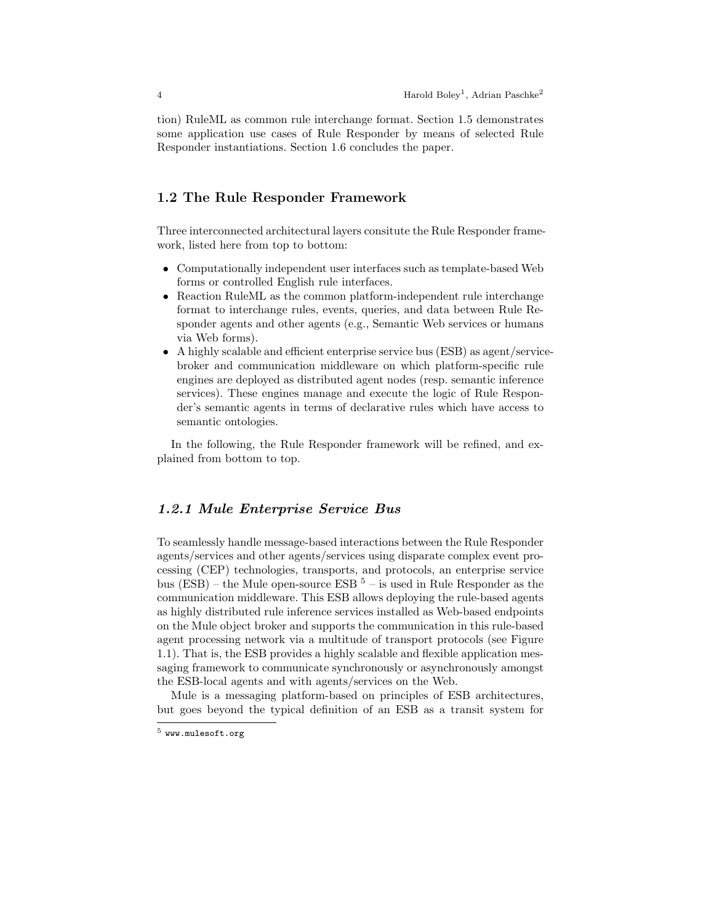tion) RuleML as common rule interchange format. Section 1.5 demonstrates some application use cases of Rule Responder by means of selected Rule Responder instantiations. Section 1.6 concludes the paper.

#### 1.2 The Rule Responder Framework

Three interconnected architectural layers consitute the Rule Responder framework, listed here from top to bottom:

- Computationally independent user interfaces such as template-based Web forms or controlled English rule interfaces.
- Reaction RuleML as the common platform-independent rule interchange format to interchange rules, events, queries, and data between Rule Responder agents and other agents (e.g., Semantic Web services or humans via Web forms).
- A highly scalable and efficient enterprise service bus (ESB) as agent/servicebroker and communication middleware on which platform-specific rule engines are deployed as distributed agent nodes (resp. semantic inference services). These engines manage and execute the logic of Rule Responder's semantic agents in terms of declarative rules which have access to semantic ontologies.

In the following, the Rule Responder framework will be refined, and explained from bottom to top.

#### 1.2.1 Mule Enterprise Service Bus

To seamlessly handle message-based interactions between the Rule Responder agents/services and other agents/services using disparate complex event processing (CEP) technologies, transports, and protocols, an enterprise service bus (ESB) – the Mule open-source ESB  $5$  – is used in Rule Responder as the communication middleware. This ESB allows deploying the rule-based agents as highly distributed rule inference services installed as Web-based endpoints on the Mule object broker and supports the communication in this rule-based agent processing network via a multitude of transport protocols (see Figure 1.1). That is, the ESB provides a highly scalable and flexible application messaging framework to communicate synchronously or asynchronously amongst the ESB-local agents and with agents/services on the Web.

Mule is a messaging platform-based on principles of ESB architectures, but goes beyond the typical definition of an ESB as a transit system for

 $5$  www.mulesoft.org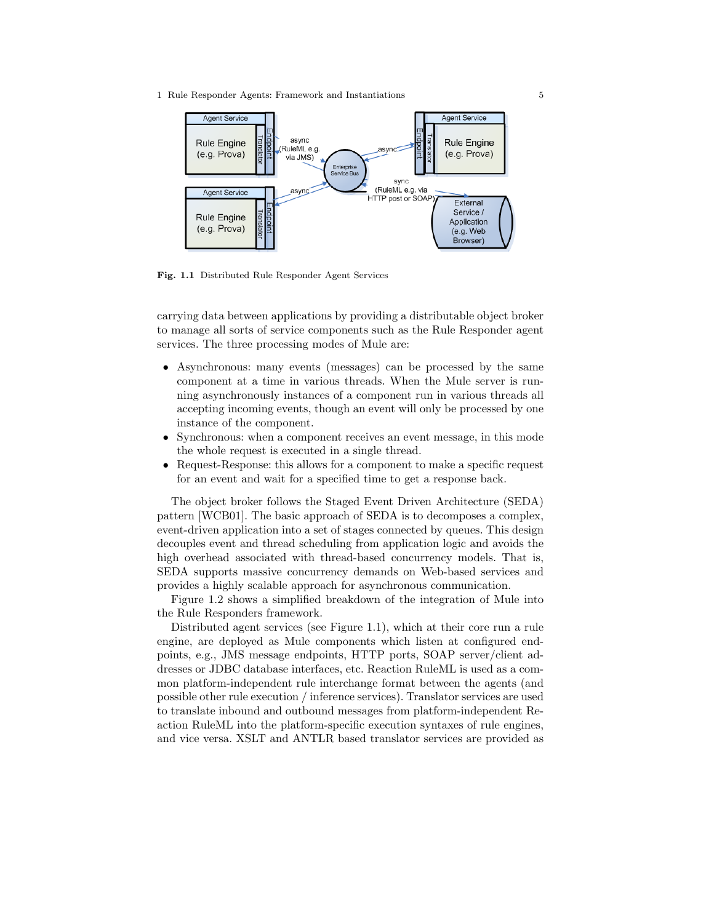

Fig. 1.1 Distributed Rule Responder Agent Services

carrying data between applications by providing a distributable object broker to manage all sorts of service components such as the Rule Responder agent services. The three processing modes of Mule are:

- Asynchronous: many events (messages) can be processed by the same component at a time in various threads. When the Mule server is running asynchronously instances of a component run in various threads all accepting incoming events, though an event will only be processed by one instance of the component.
- Synchronous: when a component receives an event message, in this mode the whole request is executed in a single thread.
- Request-Response: this allows for a component to make a specific request for an event and wait for a specified time to get a response back.

The object broker follows the Staged Event Driven Architecture (SEDA) pattern [WCB01]. The basic approach of SEDA is to decomposes a complex, event-driven application into a set of stages connected by queues. This design decouples event and thread scheduling from application logic and avoids the high overhead associated with thread-based concurrency models. That is, SEDA supports massive concurrency demands on Web-based services and provides a highly scalable approach for asynchronous communication.

Figure 1.2 shows a simplified breakdown of the integration of Mule into the Rule Responders framework.

Distributed agent services (see Figure 1.1), which at their core run a rule engine, are deployed as Mule components which listen at configured endpoints, e.g., JMS message endpoints, HTTP ports, SOAP server/client addresses or JDBC database interfaces, etc. Reaction RuleML is used as a common platform-independent rule interchange format between the agents (and possible other rule execution / inference services). Translator services are used to translate inbound and outbound messages from platform-independent Reaction RuleML into the platform-specific execution syntaxes of rule engines, and vice versa. XSLT and ANTLR based translator services are provided as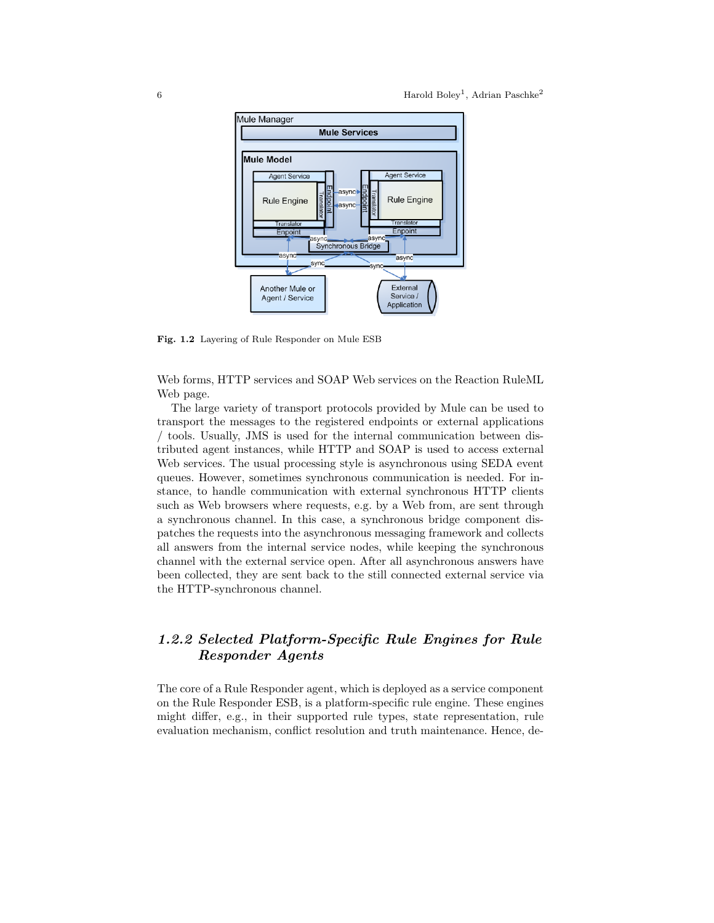

Fig. 1.2 Layering of Rule Responder on Mule ESB

Web forms, HTTP services and SOAP Web services on the Reaction RuleML Web page.

The large variety of transport protocols provided by Mule can be used to transport the messages to the registered endpoints or external applications / tools. Usually, JMS is used for the internal communication between distributed agent instances, while HTTP and SOAP is used to access external Web services. The usual processing style is asynchronous using SEDA event queues. However, sometimes synchronous communication is needed. For instance, to handle communication with external synchronous HTTP clients such as Web browsers where requests, e.g. by a Web from, are sent through a synchronous channel. In this case, a synchronous bridge component dispatches the requests into the asynchronous messaging framework and collects all answers from the internal service nodes, while keeping the synchronous channel with the external service open. After all asynchronous answers have been collected, they are sent back to the still connected external service via the HTTP-synchronous channel.

## 1.2.2 Selected Platform-Specific Rule Engines for Rule Responder Agents

The core of a Rule Responder agent, which is deployed as a service component on the Rule Responder ESB, is a platform-specific rule engine. These engines might differ, e.g., in their supported rule types, state representation, rule evaluation mechanism, conflict resolution and truth maintenance. Hence, de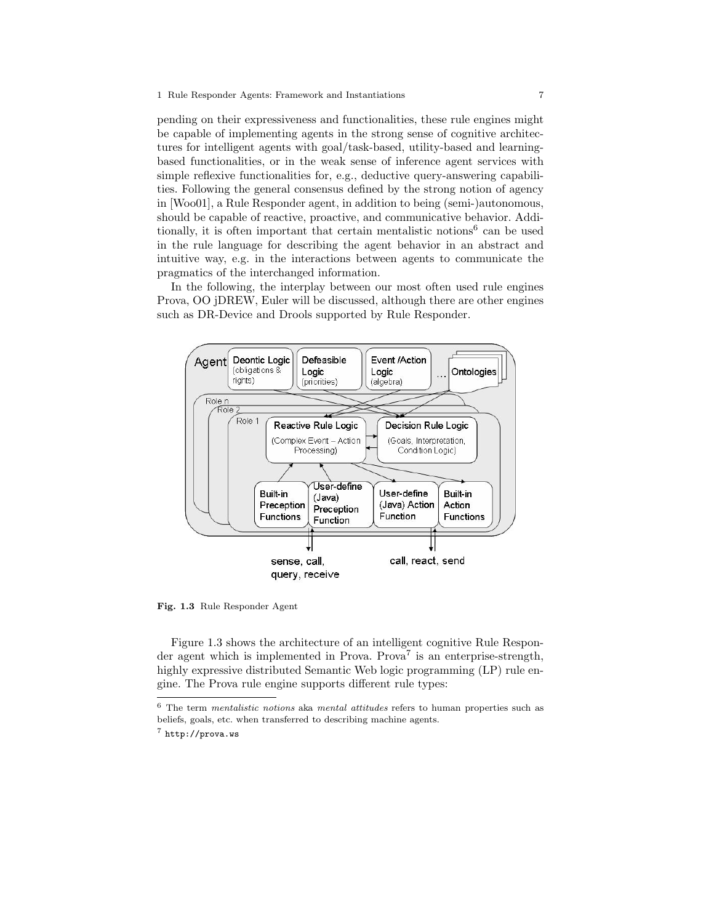pending on their expressiveness and functionalities, these rule engines might be capable of implementing agents in the strong sense of cognitive architectures for intelligent agents with goal/task-based, utility-based and learningbased functionalities, or in the weak sense of inference agent services with simple reflexive functionalities for, e.g., deductive query-answering capabilities. Following the general consensus defined by the strong notion of agency in [Woo01], a Rule Responder agent, in addition to being (semi-)autonomous, should be capable of reactive, proactive, and communicative behavior. Additionally, it is often important that certain mentalistic notions<sup>6</sup> can be used in the rule language for describing the agent behavior in an abstract and intuitive way, e.g. in the interactions between agents to communicate the pragmatics of the interchanged information.

In the following, the interplay between our most often used rule engines Prova, OO jDREW, Euler will be discussed, although there are other engines such as DR-Device and Drools supported by Rule Responder.



Fig. 1.3 Rule Responder Agent

Figure 1.3 shows the architecture of an intelligent cognitive Rule Responder agent which is implemented in Prova. Prova<sup>7</sup> is an enterprise-strength, highly expressive distributed Semantic Web logic programming (LP) rule engine. The Prova rule engine supports different rule types:

 $6$  The term mentalistic notions aka mental attitudes refers to human properties such as beliefs, goals, etc. when transferred to describing machine agents.

<sup>7</sup> http://prova.ws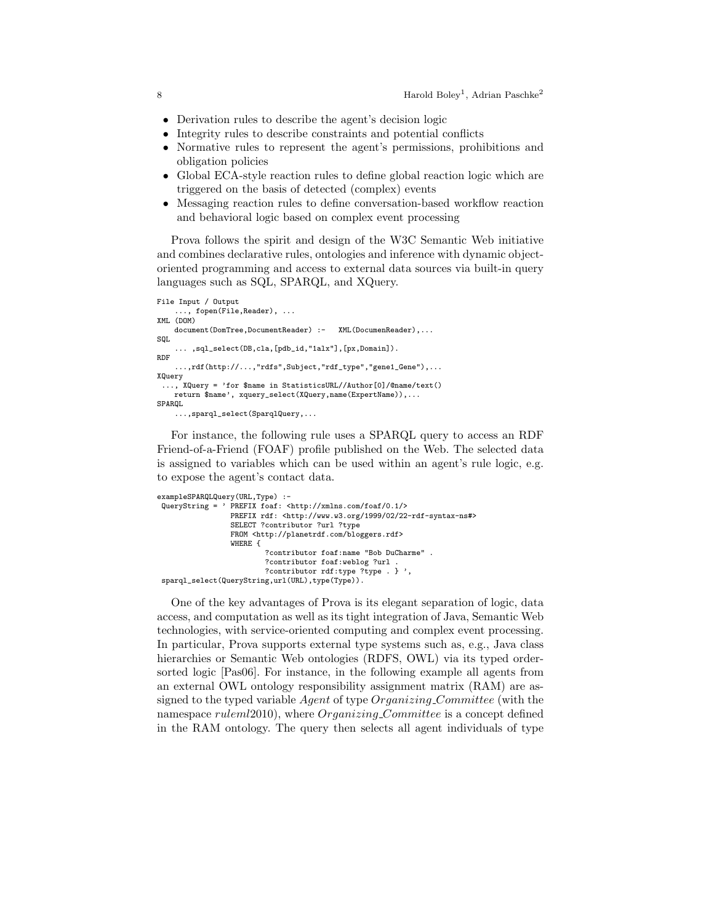- Derivation rules to describe the agent's decision logic
- Integrity rules to describe constraints and potential conflicts
- Normative rules to represent the agent's permissions, prohibitions and obligation policies
- Global ECA-style reaction rules to define global reaction logic which are triggered on the basis of detected (complex) events
- Messaging reaction rules to define conversation-based workflow reaction and behavioral logic based on complex event processing

Prova follows the spirit and design of the W3C Semantic Web initiative and combines declarative rules, ontologies and inference with dynamic objectoriented programming and access to external data sources via built-in query languages such as SQL, SPARQL, and XQuery.

```
File Input / Output
    ..., fopen(File,Reader), ...
XML (DOM)
    document(DomTree,DocumentReader) :- XML(DocumenReader),...
SQL
        ... ,sql_select(DB,cla,[pdb_id,"1alx"],[px,Domain]).
RDF
       ...,rdf(http://...,"rdfs",Subject,"rdf_type","gene1_Gene"),...
XQuery
 ..., XQuery = 'for $name in StatisticsURL//Author[0]/@name/text()
    return $name', xquery_select(XQuery,name(ExpertName)),...
SPARQL
    ...,sparql_select(SparqlQuery,...
```
For instance, the following rule uses a SPARQL query to access an RDF Friend-of-a-Friend (FOAF) profile published on the Web. The selected data is assigned to variables which can be used within an agent's rule logic, e.g. to expose the agent's contact data.

```
exampleSPARQLQuery(URL,Type) :-
QueryString = ' PREFIX foaf: <http://xmlns.com/foaf/0.1/>
                 PREFIX rdf: <http://www.w3.org/1999/02/22-rdf-syntax-ns#>
                 SELECT ?contributor ?url ?type
                FROM <http://planetrdf.com/bloggers.rdf>
                 WHERE {
                         ?contributor foaf:name "Bob DuCharme" .
                         ?contributor foaf:weblog ?url .
                         ?contributor rdf:type ?type . } '
sparql_select(QueryString,url(URL),type(Type)).
```
One of the key advantages of Prova is its elegant separation of logic, data access, and computation as well as its tight integration of Java, Semantic Web technologies, with service-oriented computing and complex event processing. In particular, Prova supports external type systems such as, e.g., Java class hierarchies or Semantic Web ontologies (RDFS, OWL) via its typed ordersorted logic [Pas06]. For instance, in the following example all agents from an external OWL ontology responsibility assignment matrix (RAM) are assigned to the typed variable *Agent* of type *Organizing Committee* (with the namespace ruleml2010), where *Organizing Committee* is a concept defined in the RAM ontology. The query then selects all agent individuals of type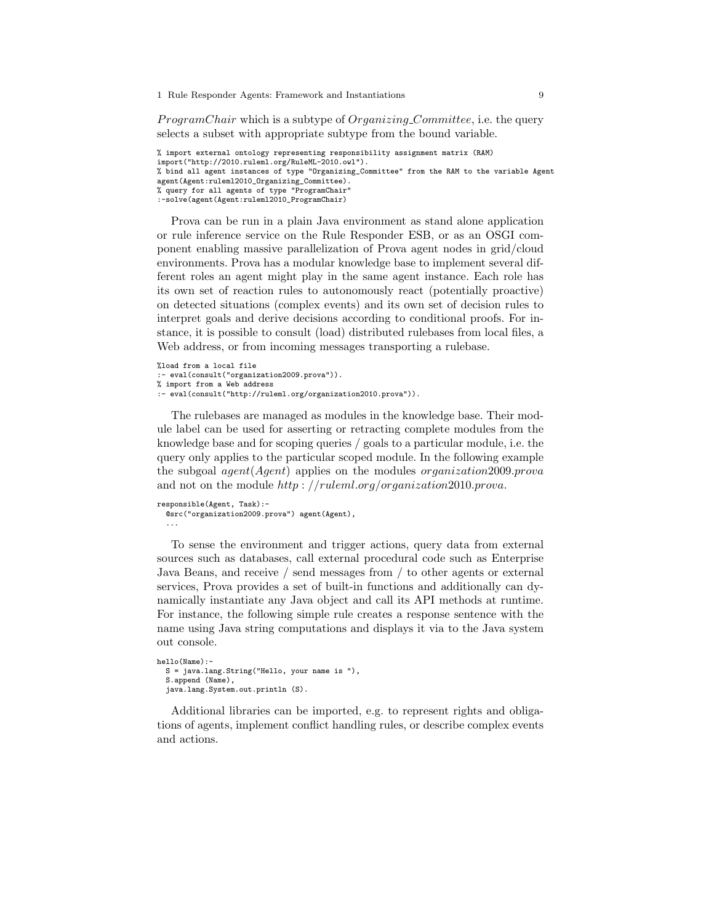ProgramChair which is a subtype of *Organizing Committee*, i.e. the query selects a subset with appropriate subtype from the bound variable.

```
% import external ontology representing responsibility assignment matrix (RAM)
import("http://2010.ruleml.org/RuleML-2010.owl").
% bind all agent instances of type "Organizing_Committee" from the RAM to the variable Agent
agent(Agent:ruleml2010_Organizing_Committee).
% query for all agents of type "ProgramChair"
:-solve(agent(Agent:ruleml2010_ProgramChair)
```
Prova can be run in a plain Java environment as stand alone application or rule inference service on the Rule Responder ESB, or as an OSGI component enabling massive parallelization of Prova agent nodes in grid/cloud environments. Prova has a modular knowledge base to implement several different roles an agent might play in the same agent instance. Each role has its own set of reaction rules to autonomously react (potentially proactive) on detected situations (complex events) and its own set of decision rules to interpret goals and derive decisions according to conditional proofs. For instance, it is possible to consult (load) distributed rulebases from local files, a Web address, or from incoming messages transporting a rulebase.

```
%load from a local file
 - eval(consult("organization2009.prova")).
% import from a Web address
:- eval(consult("http://ruleml.org/organization2010.prova")).
```
The rulebases are managed as modules in the knowledge base. Their module label can be used for asserting or retracting complete modules from the knowledge base and for scoping queries / goals to a particular module, i.e. the query only applies to the particular scoped module. In the following example the subgoal agent( $Agent$ ) applies on the modules *organization*2009.prova and not on the module http : //ruleml.org/organization2010.prova.

```
responsible(Agent, Task):-
 @src("organization2009.prova") agent(Agent),
  ...
```
To sense the environment and trigger actions, query data from external sources such as databases, call external procedural code such as Enterprise Java Beans, and receive / send messages from / to other agents or external services, Prova provides a set of built-in functions and additionally can dynamically instantiate any Java object and call its API methods at runtime. For instance, the following simple rule creates a response sentence with the name using Java string computations and displays it via to the Java system out console.

```
hello(Name):-
 S = java.lang.String("Hello, your name is "),
 S.append (Name),
 java.lang.System.out.println (S).
```
Additional libraries can be imported, e.g. to represent rights and obligations of agents, implement conflict handling rules, or describe complex events and actions.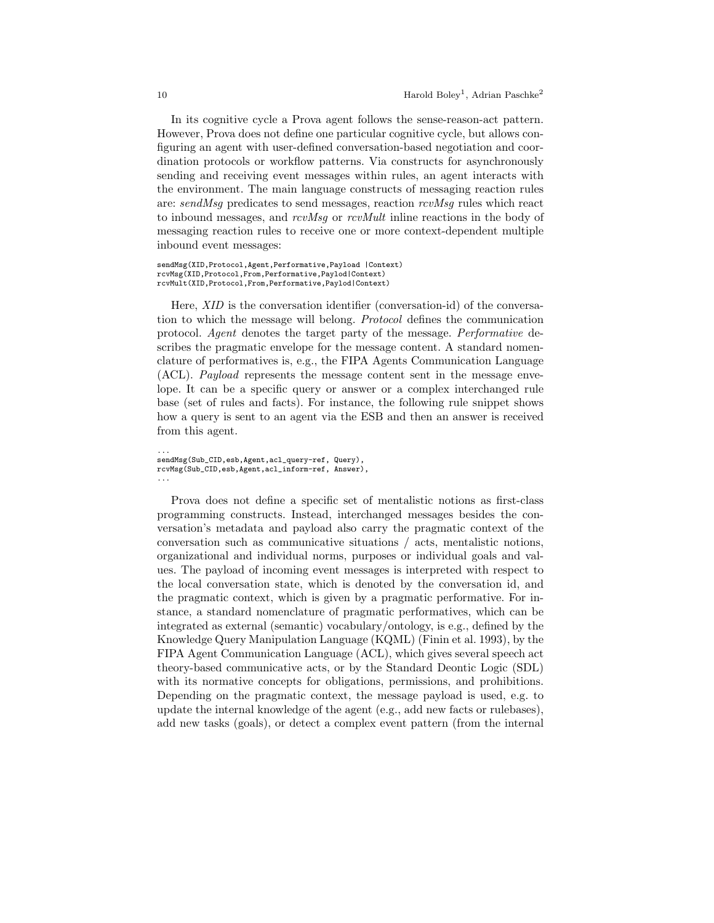In its cognitive cycle a Prova agent follows the sense-reason-act pattern. However, Prova does not define one particular cognitive cycle, but allows configuring an agent with user-defined conversation-based negotiation and coordination protocols or workflow patterns. Via constructs for asynchronously sending and receiving event messages within rules, an agent interacts with the environment. The main language constructs of messaging reaction rules are: sendMsg predicates to send messages, reaction rcvMsg rules which react to inbound messages, and rcvMsg or rcvMult inline reactions in the body of messaging reaction rules to receive one or more context-dependent multiple inbound event messages:

```
sendMsg(XID,Protocol,Agent,Performative,Payload |Context)
rcvMsg(XID,Protocol,From,Performative,Paylod|Context)
rcvMult(XID,Protocol,From,Performative,Paylod|Context)
```
Here, XID is the conversation identifier (conversation-id) of the conversation to which the message will belong. Protocol defines the communication protocol. Agent denotes the target party of the message. Performative describes the pragmatic envelope for the message content. A standard nomenclature of performatives is, e.g., the FIPA Agents Communication Language (ACL). Payload represents the message content sent in the message envelope. It can be a specific query or answer or a complex interchanged rule base (set of rules and facts). For instance, the following rule snippet shows how a query is sent to an agent via the ESB and then an answer is received from this agent.

```
...
sendMsg(Sub_CID,esb,Agent,acl_query-ref, Query),
rcvMsg(Sub_CID,esb,Agent,acl_inform-ref, Answer),
...
```
Prova does not define a specific set of mentalistic notions as first-class programming constructs. Instead, interchanged messages besides the conversation's metadata and payload also carry the pragmatic context of the conversation such as communicative situations / acts, mentalistic notions, organizational and individual norms, purposes or individual goals and values. The payload of incoming event messages is interpreted with respect to the local conversation state, which is denoted by the conversation id, and the pragmatic context, which is given by a pragmatic performative. For instance, a standard nomenclature of pragmatic performatives, which can be integrated as external (semantic) vocabulary/ontology, is e.g., defined by the Knowledge Query Manipulation Language (KQML) (Finin et al. 1993), by the FIPA Agent Communication Language (ACL), which gives several speech act theory-based communicative acts, or by the Standard Deontic Logic (SDL) with its normative concepts for obligations, permissions, and prohibitions. Depending on the pragmatic context, the message payload is used, e.g. to update the internal knowledge of the agent (e.g., add new facts or rulebases), add new tasks (goals), or detect a complex event pattern (from the internal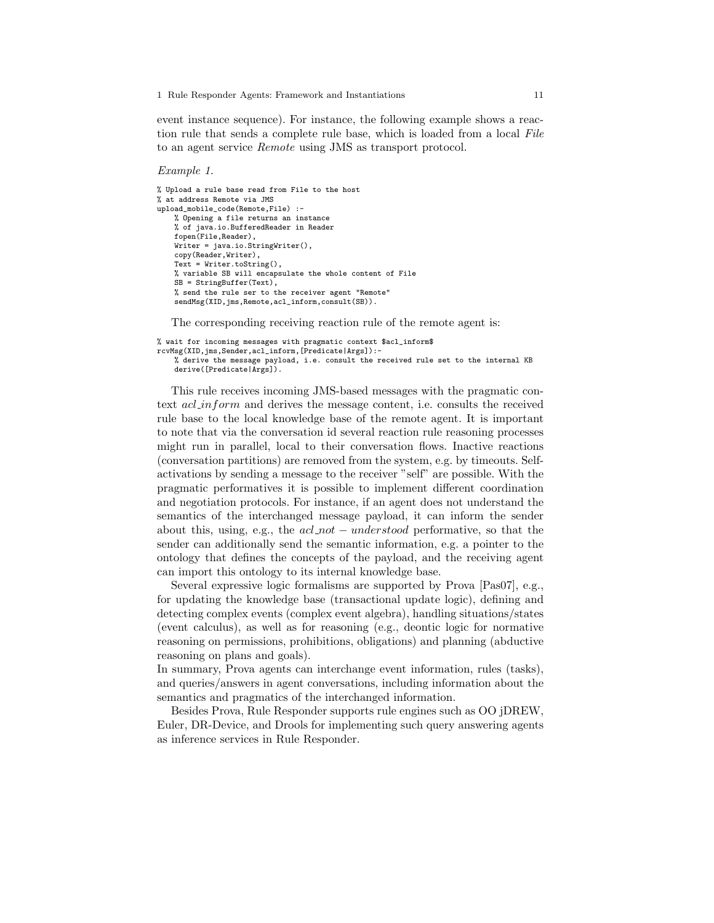event instance sequence). For instance, the following example shows a reaction rule that sends a complete rule base, which is loaded from a local File to an agent service Remote using JMS as transport protocol.

Example 1.

```
% Upload a rule base read from File to the host
% at address Remote via JMS
upload_mobile_code(Remote,File) :-
   % Opening a file returns an instance
   % of java.io.BufferedReader in Reader
   fopen(File,Reader),
   Writer = java.io.StringWriter(),
   copy(Reader,Writer),
   Text = Writer.toString(),
   % variable SB will encapsulate the whole content of File
   SB = StringBuffer(Text),
   % send the rule ser to the receiver agent "Remote"
    sendMsg(XID,jms,Remote,acl_inform,consult(SB)).
```
The corresponding receiving reaction rule of the remote agent is:

```
% wait for incoming messages with pragmatic context $acl_inform$
rcvMsg(XID,jms,Sender,acl_inform,[Predicate|Args]):-
   % derive the message payload, i.e. consult the received rule set to the internal KB
   derive([Predicate|Args]).
```
This rule receives incoming JMS-based messages with the pragmatic context acl inform and derives the message content, i.e. consults the received rule base to the local knowledge base of the remote agent. It is important to note that via the conversation id several reaction rule reasoning processes might run in parallel, local to their conversation flows. Inactive reactions (conversation partitions) are removed from the system, e.g. by timeouts. Selfactivations by sending a message to the receiver "self" are possible. With the pragmatic performatives it is possible to implement different coordination and negotiation protocols. For instance, if an agent does not understand the semantics of the interchanged message payload, it can inform the sender about this, using, e.g., the acl not − understood performative, so that the sender can additionally send the semantic information, e.g. a pointer to the ontology that defines the concepts of the payload, and the receiving agent can import this ontology to its internal knowledge base.

Several expressive logic formalisms are supported by Prova [Pas07], e.g., for updating the knowledge base (transactional update logic), defining and detecting complex events (complex event algebra), handling situations/states (event calculus), as well as for reasoning (e.g., deontic logic for normative reasoning on permissions, prohibitions, obligations) and planning (abductive reasoning on plans and goals).

In summary, Prova agents can interchange event information, rules (tasks), and queries/answers in agent conversations, including information about the semantics and pragmatics of the interchanged information.

Besides Prova, Rule Responder supports rule engines such as OO jDREW, Euler, DR-Device, and Drools for implementing such query answering agents as inference services in Rule Responder.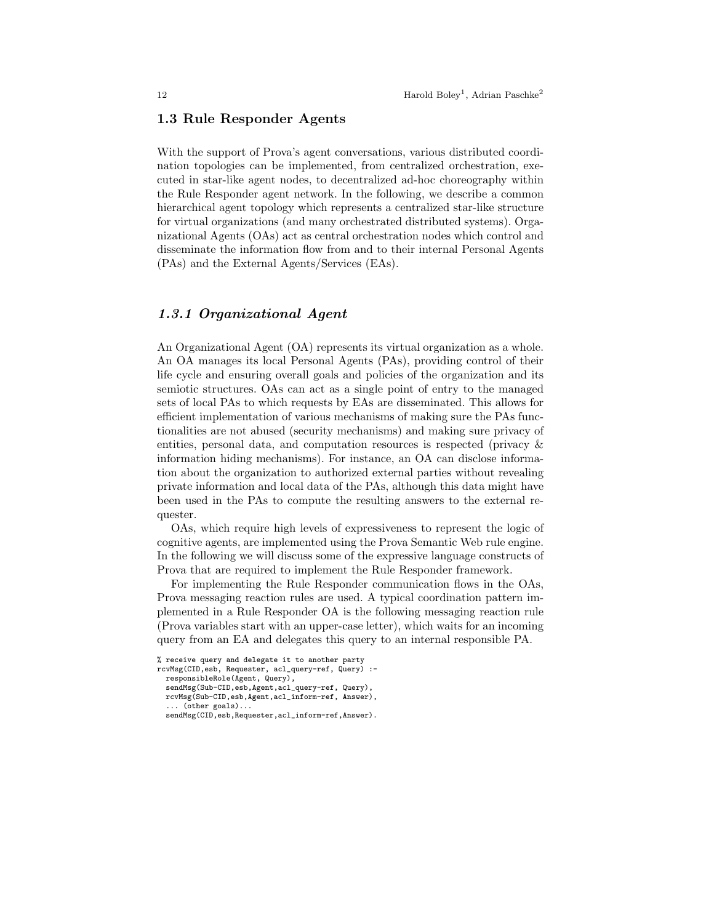### 1.3 Rule Responder Agents

With the support of Prova's agent conversations, various distributed coordination topologies can be implemented, from centralized orchestration, executed in star-like agent nodes, to decentralized ad-hoc choreography within the Rule Responder agent network. In the following, we describe a common hierarchical agent topology which represents a centralized star-like structure for virtual organizations (and many orchestrated distributed systems). Organizational Agents (OAs) act as central orchestration nodes which control and disseminate the information flow from and to their internal Personal Agents (PAs) and the External Agents/Services (EAs).

#### 1.3.1 Organizational Agent

An Organizational Agent (OA) represents its virtual organization as a whole. An OA manages its local Personal Agents (PAs), providing control of their life cycle and ensuring overall goals and policies of the organization and its semiotic structures. OAs can act as a single point of entry to the managed sets of local PAs to which requests by EAs are disseminated. This allows for efficient implementation of various mechanisms of making sure the PAs functionalities are not abused (security mechanisms) and making sure privacy of entities, personal data, and computation resources is respected (privacy & information hiding mechanisms). For instance, an OA can disclose information about the organization to authorized external parties without revealing private information and local data of the PAs, although this data might have been used in the PAs to compute the resulting answers to the external requester.

OAs, which require high levels of expressiveness to represent the logic of cognitive agents, are implemented using the Prova Semantic Web rule engine. In the following we will discuss some of the expressive language constructs of Prova that are required to implement the Rule Responder framework.

For implementing the Rule Responder communication flows in the OAs, Prova messaging reaction rules are used. A typical coordination pattern implemented in a Rule Responder OA is the following messaging reaction rule (Prova variables start with an upper-case letter), which waits for an incoming query from an EA and delegates this query to an internal responsible PA.

<sup>%</sup> receive query and delegate it to another party rcvMsg(CID,esb, Requester, acl\_query-ref, Query) : responsibleRole(Agent, Query), sendMsg(Sub-CID,esb,Agent,acl\_query-ref, Query),

rcvMsg(Sub-CID,esb,Agent,acl\_inform-ref, Answer),

<sup>... (</sup>other goals)...

sendMsg(CID,esb,Requester.acl\_inform-ref,Answer).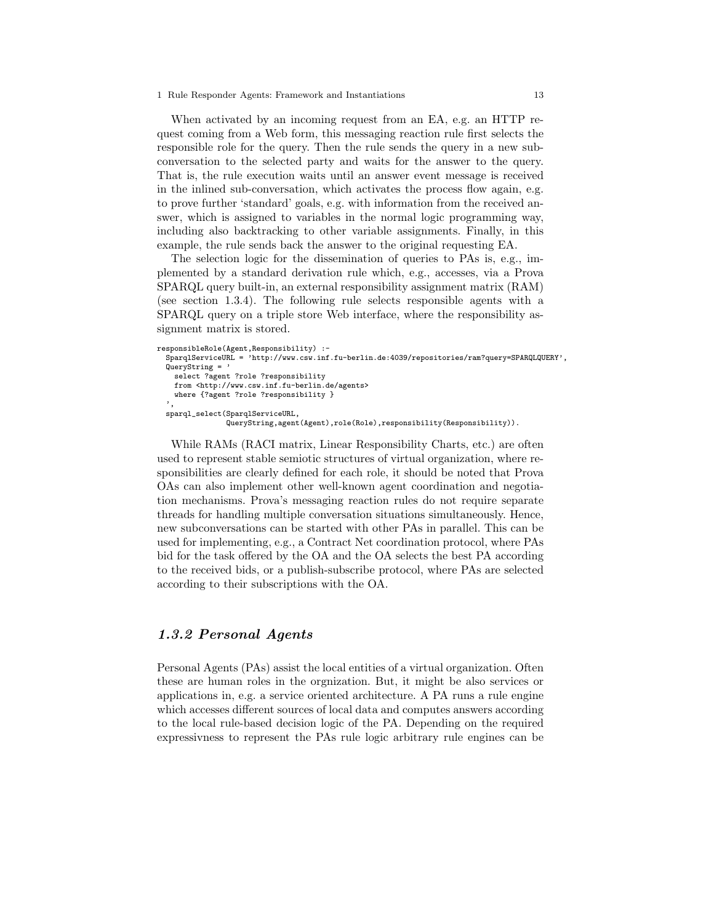When activated by an incoming request from an EA, e.g. an HTTP request coming from a Web form, this messaging reaction rule first selects the responsible role for the query. Then the rule sends the query in a new subconversation to the selected party and waits for the answer to the query. That is, the rule execution waits until an answer event message is received in the inlined sub-conversation, which activates the process flow again, e.g. to prove further 'standard' goals, e.g. with information from the received answer, which is assigned to variables in the normal logic programming way, including also backtracking to other variable assignments. Finally, in this example, the rule sends back the answer to the original requesting EA.

The selection logic for the dissemination of queries to PAs is, e.g., implemented by a standard derivation rule which, e.g., accesses, via a Prova SPARQL query built-in, an external responsibility assignment matrix (RAM) (see section 1.3.4). The following rule selects responsible agents with a SPARQL query on a triple store Web interface, where the responsibility assignment matrix is stored.

```
responsibleRole(Agent,Responsibility) :-
  SparqlServiceURL = 'http://www.csw.inf.fu-berlin.de:4039/repositories/ram?query=SPARQLQUERY',
  QueryString = '
   select ?agent ?role ?responsibility
   from <http://www.csw.inf.fu-berlin.de/agents>
   where {?agent ?role ?responsibility }
  ',
sparql_select(SparqlServiceURL,
                QueryString,agent(Agent),role(Role),responsibility(Responsibility)).
```
While RAMs (RACI matrix, Linear Responsibility Charts, etc.) are often used to represent stable semiotic structures of virtual organization, where responsibilities are clearly defined for each role, it should be noted that Prova OAs can also implement other well-known agent coordination and negotiation mechanisms. Prova's messaging reaction rules do not require separate threads for handling multiple conversation situations simultaneously. Hence, new subconversations can be started with other PAs in parallel. This can be used for implementing, e.g., a Contract Net coordination protocol, where PAs bid for the task offered by the OA and the OA selects the best PA according to the received bids, or a publish-subscribe protocol, where PAs are selected according to their subscriptions with the OA.

#### 1.3.2 Personal Agents

Personal Agents (PAs) assist the local entities of a virtual organization. Often these are human roles in the orgnization. But, it might be also services or applications in, e.g. a service oriented architecture. A PA runs a rule engine which accesses different sources of local data and computes answers according to the local rule-based decision logic of the PA. Depending on the required expressivness to represent the PAs rule logic arbitrary rule engines can be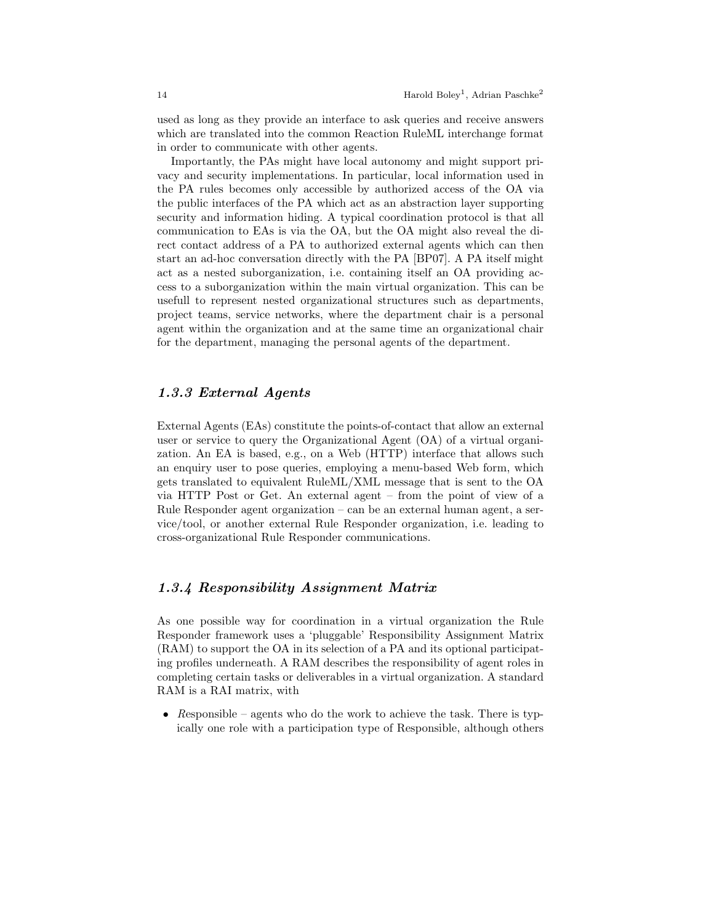used as long as they provide an interface to ask queries and receive answers which are translated into the common Reaction RuleML interchange format in order to communicate with other agents.

Importantly, the PAs might have local autonomy and might support privacy and security implementations. In particular, local information used in the PA rules becomes only accessible by authorized access of the OA via the public interfaces of the PA which act as an abstraction layer supporting security and information hiding. A typical coordination protocol is that all communication to EAs is via the OA, but the OA might also reveal the direct contact address of a PA to authorized external agents which can then start an ad-hoc conversation directly with the PA [BP07]. A PA itself might act as a nested suborganization, i.e. containing itself an OA providing access to a suborganization within the main virtual organization. This can be usefull to represent nested organizational structures such as departments, project teams, service networks, where the department chair is a personal agent within the organization and at the same time an organizational chair for the department, managing the personal agents of the department.

#### 1.3.3 External Agents

External Agents (EAs) constitute the points-of-contact that allow an external user or service to query the Organizational Agent (OA) of a virtual organization. An EA is based, e.g., on a Web (HTTP) interface that allows such an enquiry user to pose queries, employing a menu-based Web form, which gets translated to equivalent RuleML/XML message that is sent to the OA via HTTP Post or Get. An external agent – from the point of view of a Rule Responder agent organization – can be an external human agent, a service/tool, or another external Rule Responder organization, i.e. leading to cross-organizational Rule Responder communications.

#### 1.3.4 Responsibility Assignment Matrix

As one possible way for coordination in a virtual organization the Rule Responder framework uses a 'pluggable' Responsibility Assignment Matrix (RAM) to support the OA in its selection of a PA and its optional participating profiles underneath. A RAM describes the responsibility of agent roles in completing certain tasks or deliverables in a virtual organization. A standard RAM is a RAI matrix, with

• Responsible – agents who do the work to achieve the task. There is typically one role with a participation type of Responsible, although others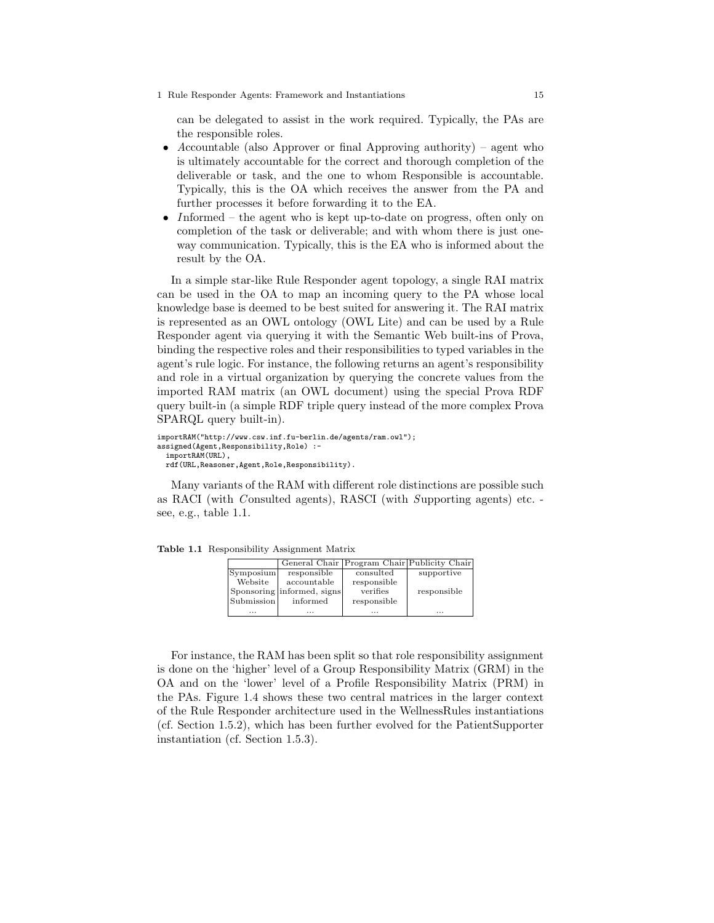can be delegated to assist in the work required. Typically, the PAs are the responsible roles.

- Accountable (also Approver or final Approving authority) agent who is ultimately accountable for the correct and thorough completion of the deliverable or task, and the one to whom Responsible is accountable. Typically, this is the OA which receives the answer from the PA and further processes it before forwarding it to the EA.
- Informed the agent who is kept up-to-date on progress, often only on completion of the task or deliverable; and with whom there is just oneway communication. Typically, this is the EA who is informed about the result by the OA.

In a simple star-like Rule Responder agent topology, a single RAI matrix can be used in the OA to map an incoming query to the PA whose local knowledge base is deemed to be best suited for answering it. The RAI matrix is represented as an OWL ontology (OWL Lite) and can be used by a Rule Responder agent via querying it with the Semantic Web built-ins of Prova, binding the respective roles and their responsibilities to typed variables in the agent's rule logic. For instance, the following returns an agent's responsibility and role in a virtual organization by querying the concrete values from the imported RAM matrix (an OWL document) using the special Prova RDF query built-in (a simple RDF triple query instead of the more complex Prova SPARQL query built-in).

```
importRAM("http://www.csw.inf.fu-berlin.de/agents/ram.owl");
assigned(Agent,Responsibility,Role) :-
  importRAM(URL),
 rdf(URL,Reasoner,Agent,Role,Responsibility).
```
Many variants of the RAM with different role distinctions are possible such as RACI (with Consulted agents), RASCI (with Supporting agents) etc. see, e.g., table 1.1.

Table 1.1 Responsibility Assignment Matrix

|            |                             |             | General Chair   Program Chair   Publicity Chair |  |
|------------|-----------------------------|-------------|-------------------------------------------------|--|
| Symposium  | responsible                 | consulted   | supportive                                      |  |
| Website    | accountable                 | responsible |                                                 |  |
|            | Sponsoring linformed, signs | verifies    | responsible                                     |  |
| Submission | informed                    | responsible |                                                 |  |
| $\cdots$   | $\cdots$                    |             |                                                 |  |

For instance, the RAM has been split so that role responsibility assignment is done on the 'higher' level of a Group Responsibility Matrix (GRM) in the OA and on the 'lower' level of a Profile Responsibility Matrix (PRM) in the PAs. Figure 1.4 shows these two central matrices in the larger context of the Rule Responder architecture used in the WellnessRules instantiations (cf. Section 1.5.2), which has been further evolved for the PatientSupporter instantiation (cf. Section 1.5.3).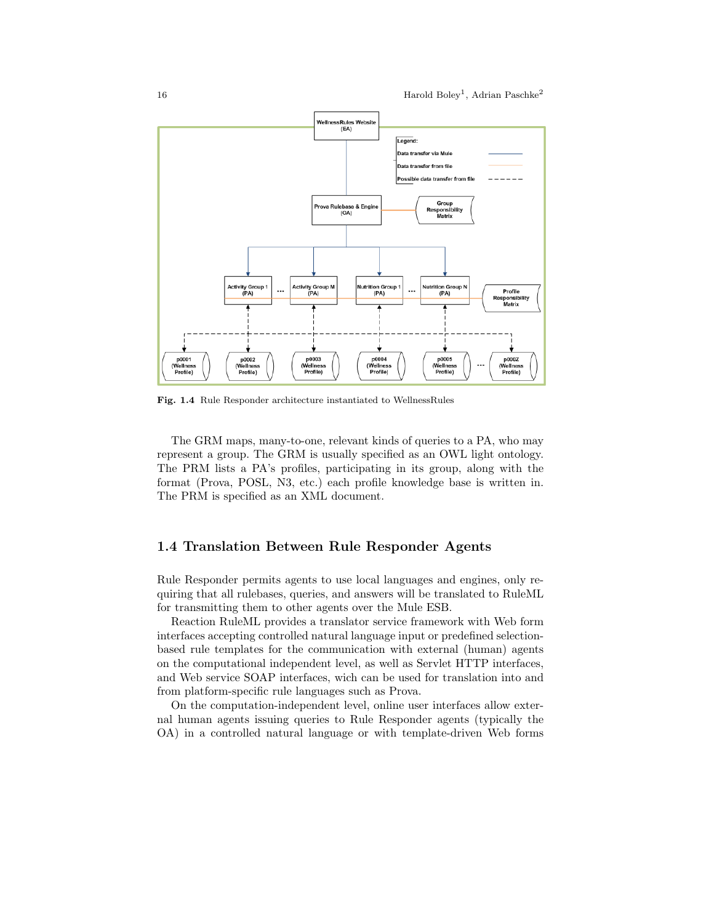

Fig. 1.4 Rule Responder architecture instantiated to WellnessRules

The GRM maps, many-to-one, relevant kinds of queries to a PA, who may represent a group. The GRM is usually specified as an OWL light ontology. The PRM lists a PA's profiles, participating in its group, along with the format (Prova, POSL, N3, etc.) each profile knowledge base is written in. The PRM is specified as an XML document.

#### 1.4 Translation Between Rule Responder Agents

Rule Responder permits agents to use local languages and engines, only requiring that all rulebases, queries, and answers will be translated to RuleML for transmitting them to other agents over the Mule ESB.

Reaction RuleML provides a translator service framework with Web form interfaces accepting controlled natural language input or predefined selectionbased rule templates for the communication with external (human) agents on the computational independent level, as well as Servlet HTTP interfaces, and Web service SOAP interfaces, wich can be used for translation into and from platform-specific rule languages such as Prova.

On the computation-independent level, online user interfaces allow external human agents issuing queries to Rule Responder agents (typically the OA) in a controlled natural language or with template-driven Web forms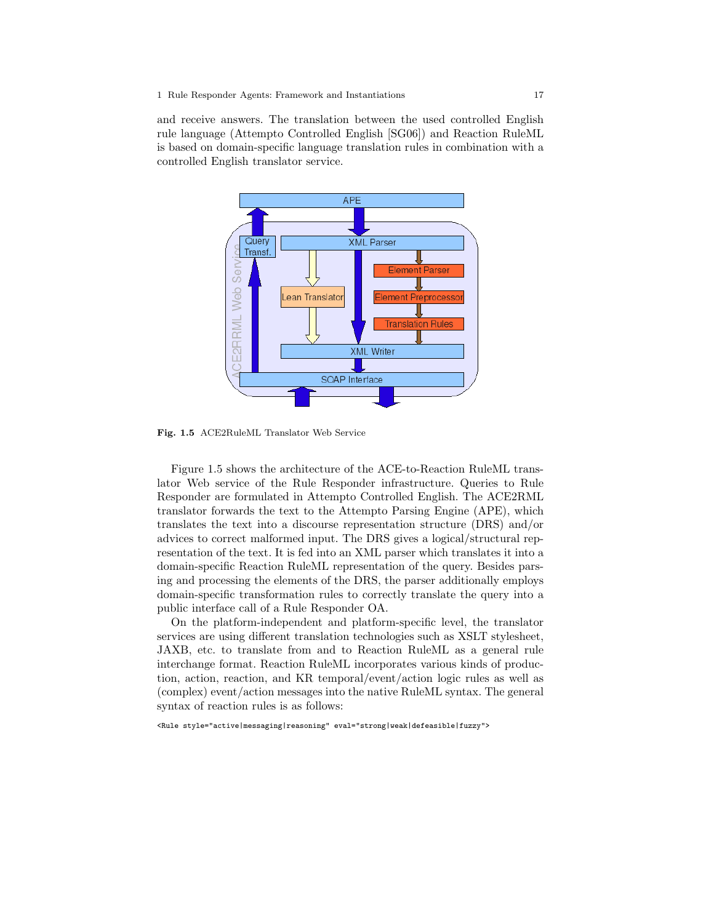and receive answers. The translation between the used controlled English rule language (Attempto Controlled English [SG06]) and Reaction RuleML is based on domain-specific language translation rules in combination with a controlled English translator service.



Fig. 1.5 ACE2RuleML Translator Web Service

Figure 1.5 shows the architecture of the ACE-to-Reaction RuleML translator Web service of the Rule Responder infrastructure. Queries to Rule Responder are formulated in Attempto Controlled English. The ACE2RML translator forwards the text to the Attempto Parsing Engine (APE), which translates the text into a discourse representation structure (DRS) and/or advices to correct malformed input. The DRS gives a logical/structural representation of the text. It is fed into an XML parser which translates it into a domain-specific Reaction RuleML representation of the query. Besides parsing and processing the elements of the DRS, the parser additionally employs domain-specific transformation rules to correctly translate the query into a public interface call of a Rule Responder OA.

On the platform-independent and platform-specific level, the translator services are using different translation technologies such as XSLT stylesheet, JAXB, etc. to translate from and to Reaction RuleML as a general rule interchange format. Reaction RuleML incorporates various kinds of production, action, reaction, and KR temporal/event/action logic rules as well as (complex) event/action messages into the native RuleML syntax. The general syntax of reaction rules is as follows:

<Rule style="active|messaging|reasoning" eval="strong|weak|defeasible|fuzzy">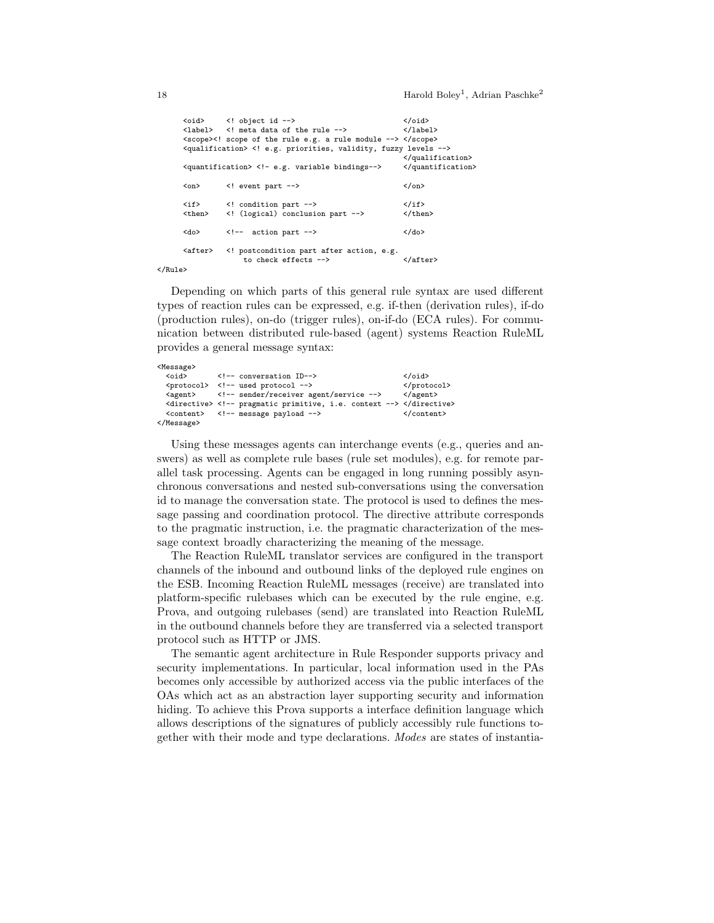18 Harold Boley<sup>1</sup>, Adrian Paschke<sup>2</sup>

```
<oid>
</object id -->
</object id -->
</oid>
</oid>
</observance -->
</observance -->
</observance -->
<//observance -->
<//observance -->
<//observance -->
<//observance -->
<//observance -->
<//observance -->
                    \langle! meta data of the rule --> \langle/label> scope of the rule e.g. a rule module --> \langle/scope>
       scope scope of the rule e.g. a rule module \rightarrow<qualification> <! e.g. priorities, validity, fuzzy levels -->
                                                                        </qualification>
       <quantification> <!- e.g. variable bindings--> </quantification>
       <on> <! event part --> </on>
       \langle i\text{f}\rangle <! condition part --> \langle i\text{f}\rangle<then> <! (logical) conclusion part --> </then>
       \langledo> \langle!-- action part --> \langle/do>
       <after> <! postcondition part after action, e.g.
                         to check effects --> </after>
</Rule>
```
Depending on which parts of this general rule syntax are used different types of reaction rules can be expressed, e.g. if-then (derivation rules), if-do (production rules), on-do (trigger rules), on-if-do (ECA rules). For communication between distributed rule-based (agent) systems Reaction RuleML provides a general message syntax:

| <message></message> |                                                                     |                            |
|---------------------|---------------------------------------------------------------------|----------------------------|
| <oid></oid>         | conversation ID                                                     |                            |
|                     | <protocol> <!-- used protocol --></protocol>                        |                            |
| <agent></agent>     | sender/receiver agent/service                                       | $\langle$ /agent $\rangle$ |
|                     | <directive> <!-- pragmatic primitive, i.e. context --> </directive> |                            |
|                     | <content> <!-- message payload --></content>                        | $\langle$ /content>        |
|                     |                                                                     |                            |

Using these messages agents can interchange events (e.g., queries and answers) as well as complete rule bases (rule set modules), e.g. for remote parallel task processing. Agents can be engaged in long running possibly asynchronous conversations and nested sub-conversations using the conversation id to manage the conversation state. The protocol is used to defines the message passing and coordination protocol. The directive attribute corresponds to the pragmatic instruction, i.e. the pragmatic characterization of the message context broadly characterizing the meaning of the message.

The Reaction RuleML translator services are configured in the transport channels of the inbound and outbound links of the deployed rule engines on the ESB. Incoming Reaction RuleML messages (receive) are translated into platform-specific rulebases which can be executed by the rule engine, e.g. Prova, and outgoing rulebases (send) are translated into Reaction RuleML in the outbound channels before they are transferred via a selected transport protocol such as HTTP or JMS.

The semantic agent architecture in Rule Responder supports privacy and security implementations. In particular, local information used in the PAs becomes only accessible by authorized access via the public interfaces of the OAs which act as an abstraction layer supporting security and information hiding. To achieve this Prova supports a interface definition language which allows descriptions of the signatures of publicly accessibly rule functions together with their mode and type declarations. Modes are states of instantia-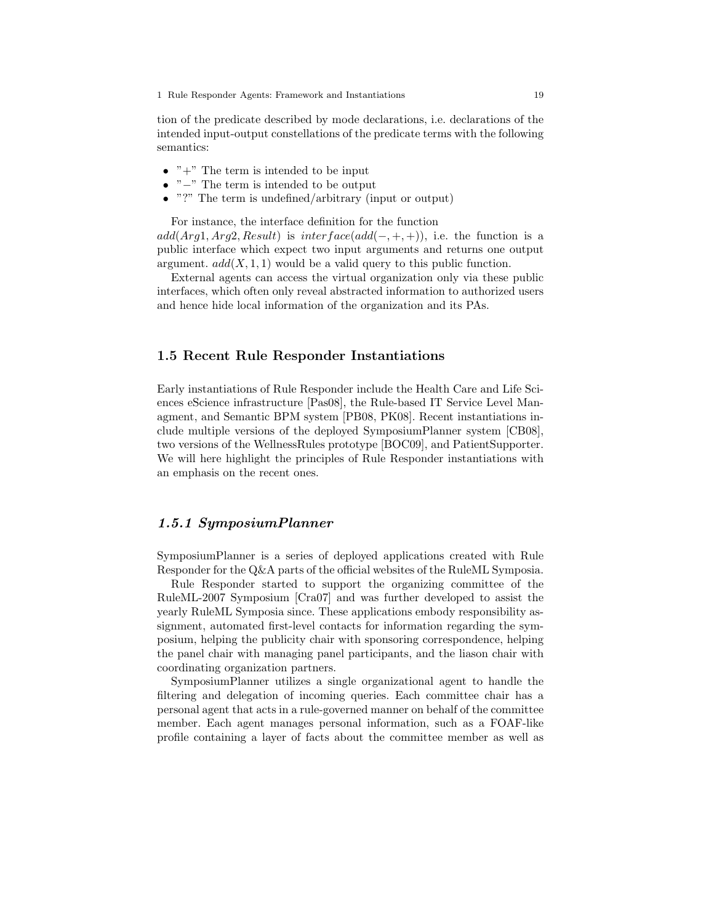tion of the predicate described by mode declarations, i.e. declarations of the intended input-output constellations of the predicate terms with the following semantics:

- $\bullet \,$  "+" The term is intended to be input
- "−" The term is intended to be output
- "?" The term is undefined/arbitrary (input or output)

For instance, the interface definition for the function

 $add(Arg1, Arg2, Result)$  is  $interface(add(-, +, +))$ , i.e. the function is a public interface which expect two input arguments and returns one output argument.  $add(X, 1, 1)$  would be a valid query to this public function.

External agents can access the virtual organization only via these public interfaces, which often only reveal abstracted information to authorized users and hence hide local information of the organization and its PAs.

#### 1.5 Recent Rule Responder Instantiations

Early instantiations of Rule Responder include the Health Care and Life Sciences eScience infrastructure [Pas08], the Rule-based IT Service Level Managment, and Semantic BPM system [PB08, PK08]. Recent instantiations include multiple versions of the deployed SymposiumPlanner system [CB08], two versions of the WellnessRules prototype [BOC09], and PatientSupporter. We will here highlight the principles of Rule Responder instantiations with an emphasis on the recent ones.

#### 1.5.1 SymposiumPlanner

SymposiumPlanner is a series of deployed applications created with Rule Responder for the Q&A parts of the official websites of the RuleML Symposia.

Rule Responder started to support the organizing committee of the RuleML-2007 Symposium [Cra07] and was further developed to assist the yearly RuleML Symposia since. These applications embody responsibility assignment, automated first-level contacts for information regarding the symposium, helping the publicity chair with sponsoring correspondence, helping the panel chair with managing panel participants, and the liason chair with coordinating organization partners.

SymposiumPlanner utilizes a single organizational agent to handle the filtering and delegation of incoming queries. Each committee chair has a personal agent that acts in a rule-governed manner on behalf of the committee member. Each agent manages personal information, such as a FOAF-like profile containing a layer of facts about the committee member as well as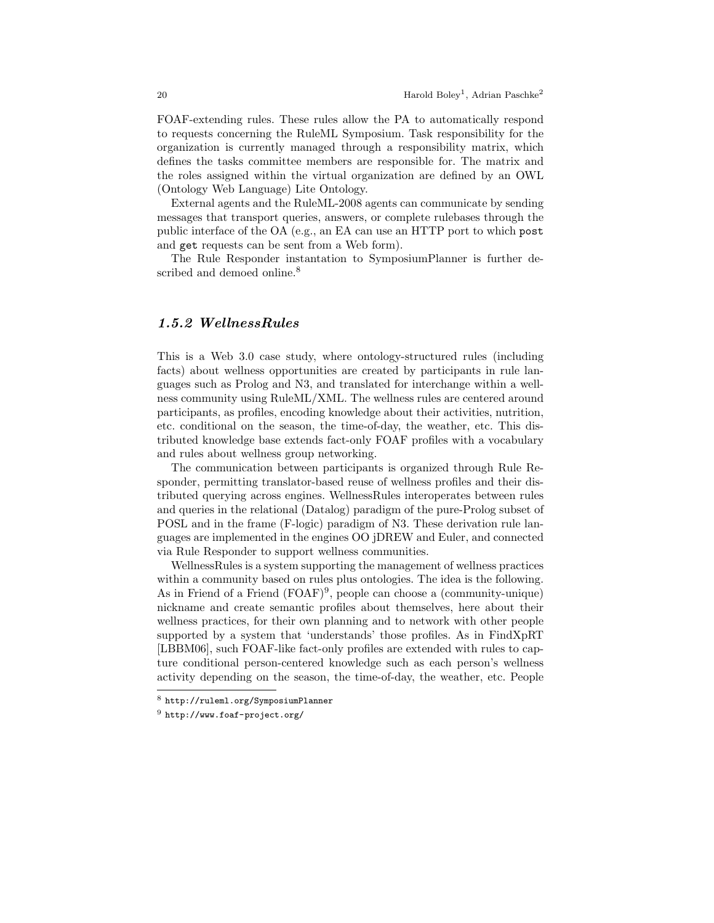FOAF-extending rules. These rules allow the PA to automatically respond to requests concerning the RuleML Symposium. Task responsibility for the organization is currently managed through a responsibility matrix, which defines the tasks committee members are responsible for. The matrix and the roles assigned within the virtual organization are defined by an OWL (Ontology Web Language) Lite Ontology.

External agents and the RuleML-2008 agents can communicate by sending messages that transport queries, answers, or complete rulebases through the public interface of the OA (e.g., an EA can use an HTTP port to which post and get requests can be sent from a Web form).

The Rule Responder instantation to SymposiumPlanner is further described and demoed online.<sup>8</sup>

#### 1.5.2 WellnessRules

This is a Web 3.0 case study, where ontology-structured rules (including facts) about wellness opportunities are created by participants in rule languages such as Prolog and N3, and translated for interchange within a wellness community using RuleML/XML. The wellness rules are centered around participants, as profiles, encoding knowledge about their activities, nutrition, etc. conditional on the season, the time-of-day, the weather, etc. This distributed knowledge base extends fact-only FOAF profiles with a vocabulary and rules about wellness group networking.

The communication between participants is organized through Rule Responder, permitting translator-based reuse of wellness profiles and their distributed querying across engines. WellnessRules interoperates between rules and queries in the relational (Datalog) paradigm of the pure-Prolog subset of POSL and in the frame (F-logic) paradigm of N3. These derivation rule languages are implemented in the engines OO jDREW and Euler, and connected via Rule Responder to support wellness communities.

WellnessRules is a system supporting the management of wellness practices within a community based on rules plus ontologies. The idea is the following. As in Friend of a Friend  $(FOAF)^9$ , people can choose a (community-unique) nickname and create semantic profiles about themselves, here about their wellness practices, for their own planning and to network with other people supported by a system that 'understands' those profiles. As in FindXpRT [LBBM06], such FOAF-like fact-only profiles are extended with rules to capture conditional person-centered knowledge such as each person's wellness activity depending on the season, the time-of-day, the weather, etc. People

<sup>8</sup> http://ruleml.org/SymposiumPlanner

 $9$  http://www.foaf-project.org/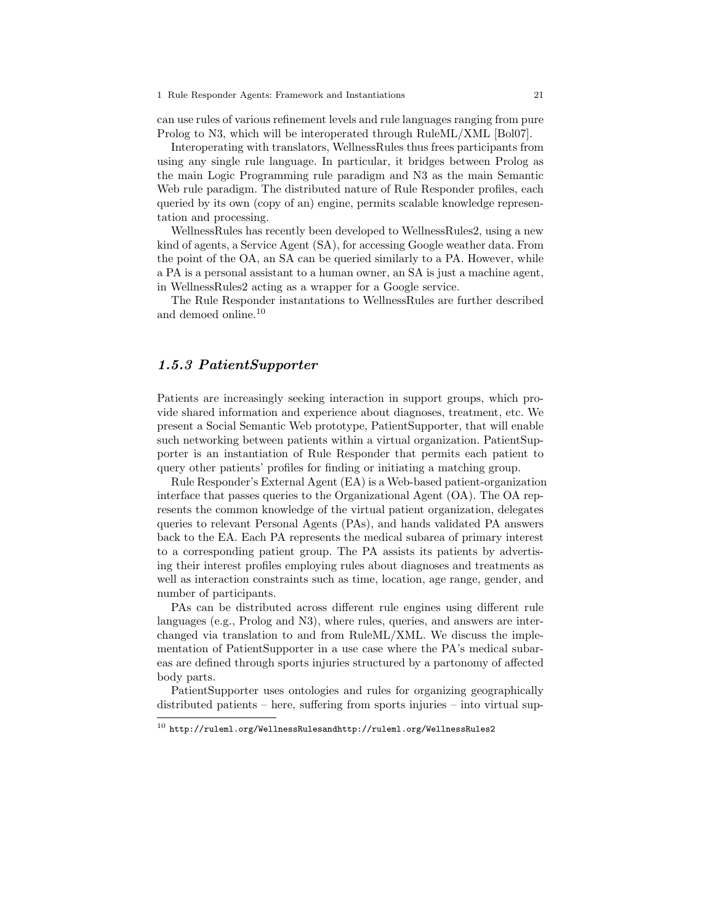can use rules of various refinement levels and rule languages ranging from pure Prolog to N3, which will be interoperated through RuleML/XML [Bol07].

Interoperating with translators, WellnessRules thus frees participants from using any single rule language. In particular, it bridges between Prolog as the main Logic Programming rule paradigm and N3 as the main Semantic Web rule paradigm. The distributed nature of Rule Responder profiles, each queried by its own (copy of an) engine, permits scalable knowledge representation and processing.

WellnessRules has recently been developed to WellnessRules2, using a new kind of agents, a Service Agent (SA), for accessing Google weather data. From the point of the OA, an SA can be queried similarly to a PA. However, while a PA is a personal assistant to a human owner, an SA is just a machine agent, in WellnessRules2 acting as a wrapper for a Google service.

The Rule Responder instantations to WellnessRules are further described and demoed online.<sup>10</sup>

### 1.5.3 PatientSupporter

Patients are increasingly seeking interaction in support groups, which provide shared information and experience about diagnoses, treatment, etc. We present a Social Semantic Web prototype, PatientSupporter, that will enable such networking between patients within a virtual organization. PatientSupporter is an instantiation of Rule Responder that permits each patient to query other patients' profiles for finding or initiating a matching group.

Rule Responder's External Agent (EA) is a Web-based patient-organization interface that passes queries to the Organizational Agent (OA). The OA represents the common knowledge of the virtual patient organization, delegates queries to relevant Personal Agents (PAs), and hands validated PA answers back to the EA. Each PA represents the medical subarea of primary interest to a corresponding patient group. The PA assists its patients by advertising their interest profiles employing rules about diagnoses and treatments as well as interaction constraints such as time, location, age range, gender, and number of participants.

PAs can be distributed across different rule engines using different rule languages (e.g., Prolog and N3), where rules, queries, and answers are interchanged via translation to and from RuleML/XML. We discuss the implementation of PatientSupporter in a use case where the PA's medical subareas are defined through sports injuries structured by a partonomy of affected body parts.

PatientSupporter uses ontologies and rules for organizing geographically distributed patients – here, suffering from sports injuries – into virtual sup-

 $10$  http://ruleml.org/WellnessRulesandhttp://ruleml.org/WellnessRules2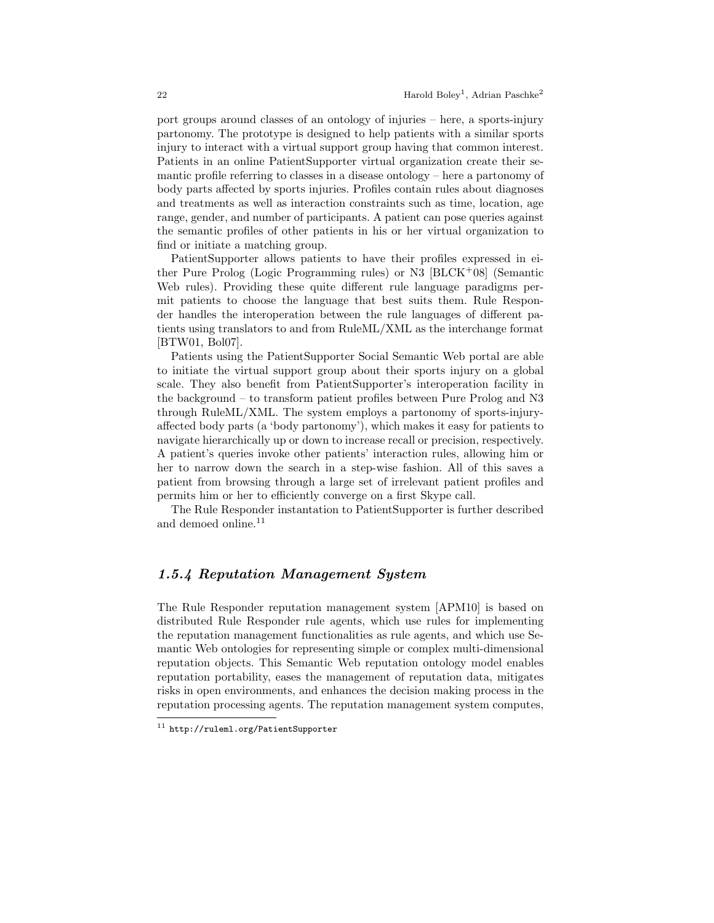port groups around classes of an ontology of injuries – here, a sports-injury partonomy. The prototype is designed to help patients with a similar sports injury to interact with a virtual support group having that common interest. Patients in an online PatientSupporter virtual organization create their semantic profile referring to classes in a disease ontology – here a partonomy of body parts affected by sports injuries. Profiles contain rules about diagnoses and treatments as well as interaction constraints such as time, location, age range, gender, and number of participants. A patient can pose queries against the semantic profiles of other patients in his or her virtual organization to find or initiate a matching group.

PatientSupporter allows patients to have their profiles expressed in either Pure Prolog (Logic Programming rules) or N3 [BLCK+08] (Semantic Web rules). Providing these quite different rule language paradigms permit patients to choose the language that best suits them. Rule Responder handles the interoperation between the rule languages of different patients using translators to and from RuleML/XML as the interchange format [BTW01, Bol07].

Patients using the PatientSupporter Social Semantic Web portal are able to initiate the virtual support group about their sports injury on a global scale. They also benefit from PatientSupporter's interoperation facility in the background – to transform patient profiles between Pure Prolog and N3 through RuleML/XML. The system employs a partonomy of sports-injuryaffected body parts (a 'body partonomy'), which makes it easy for patients to navigate hierarchically up or down to increase recall or precision, respectively. A patient's queries invoke other patients' interaction rules, allowing him or her to narrow down the search in a step-wise fashion. All of this saves a patient from browsing through a large set of irrelevant patient profiles and permits him or her to efficiently converge on a first Skype call.

The Rule Responder instantation to PatientSupporter is further described and demoed online.<sup>11</sup>

### 1.5.4 Reputation Management System

The Rule Responder reputation management system [APM10] is based on distributed Rule Responder rule agents, which use rules for implementing the reputation management functionalities as rule agents, and which use Semantic Web ontologies for representing simple or complex multi-dimensional reputation objects. This Semantic Web reputation ontology model enables reputation portability, eases the management of reputation data, mitigates risks in open environments, and enhances the decision making process in the reputation processing agents. The reputation management system computes,

<sup>11</sup> http://ruleml.org/PatientSupporter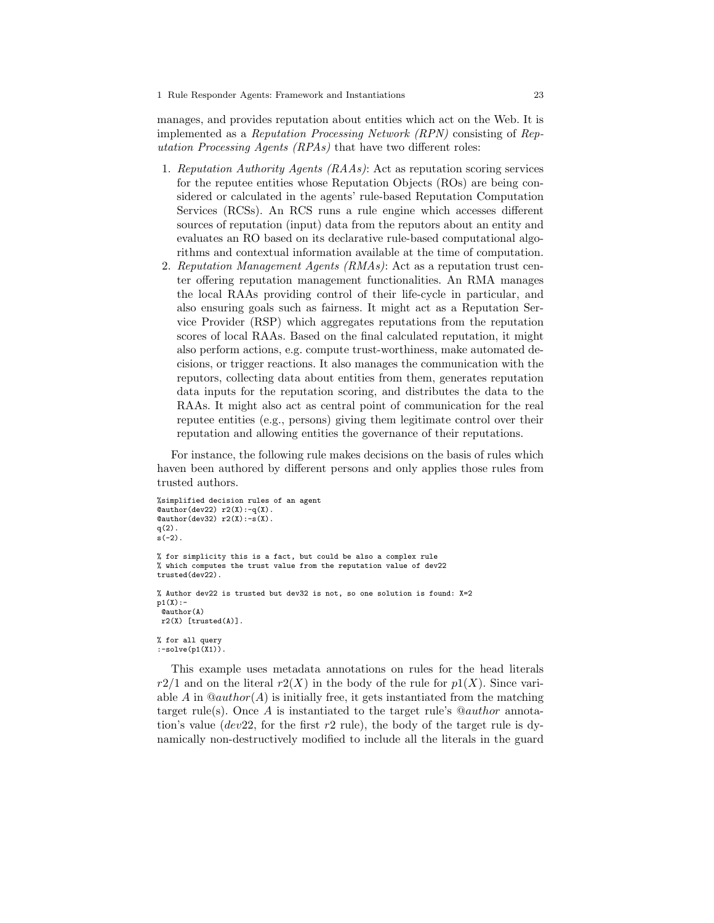manages, and provides reputation about entities which act on the Web. It is implemented as a Reputation Processing Network (RPN) consisting of Reputation Processing Agents (RPAs) that have two different roles:

- 1. Reputation Authority Agents (RAAs): Act as reputation scoring services for the reputee entities whose Reputation Objects (ROs) are being considered or calculated in the agents' rule-based Reputation Computation Services (RCSs). An RCS runs a rule engine which accesses different sources of reputation (input) data from the reputors about an entity and evaluates an RO based on its declarative rule-based computational algorithms and contextual information available at the time of computation.
- 2. Reputation Management Agents (RMAs): Act as a reputation trust center offering reputation management functionalities. An RMA manages the local RAAs providing control of their life-cycle in particular, and also ensuring goals such as fairness. It might act as a Reputation Service Provider (RSP) which aggregates reputations from the reputation scores of local RAAs. Based on the final calculated reputation, it might also perform actions, e.g. compute trust-worthiness, make automated decisions, or trigger reactions. It also manages the communication with the reputors, collecting data about entities from them, generates reputation data inputs for the reputation scoring, and distributes the data to the RAAs. It might also act as central point of communication for the real reputee entities (e.g., persons) giving them legitimate control over their reputation and allowing entities the governance of their reputations.

For instance, the following rule makes decisions on the basis of rules which haven been authored by different persons and only applies those rules from trusted authors.

```
%simplified decision rules of an agent
\texttt{Quthor}(\texttt{dev22}) \texttt{r2}(\texttt{X}) : -\texttt{q}(\texttt{X}).
\text{Quthor}(\text{dev32}) r2(X):-s(X).
q(2).
s(-2).
% for simplicity this is a fact, but could be also a complex rule
% which computes the trust value from the reputation value of dev22
trusted(dev22).
% Author dev22 is trusted but dev32 is not, so one solution is found: X=2
p1(X):-
 @author(A)
r2(X) [trusted(A)].
% for all query
:-solve(p1(X1)).
```
This example uses metadata annotations on rules for the head literals  $r^2/1$  and on the literal  $r^2(X)$  in the body of the rule for  $p^1(X)$ . Since variable A in  $\mathcal{Q}_{\text{a}}(A)$  is initially free, it gets instantiated from the matching target rule(s). Once A is instantiated to the target rule's  $@author$  annotation's value ( $dev22$ , for the first  $r2$  rule), the body of the target rule is dynamically non-destructively modified to include all the literals in the guard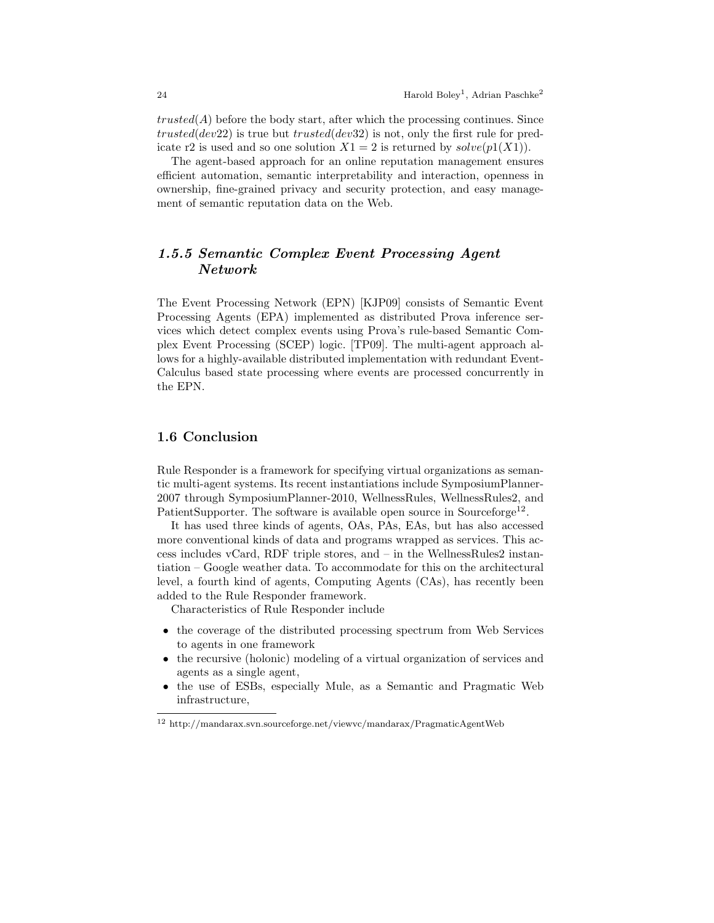$trusted(A)$  before the body start, after which the processing continues. Since  $trusted(dev22)$  is true but  $trusted(dev32)$  is not, only the first rule for predicate r2 is used and so one solution  $X1 = 2$  is returned by  $solve(p1(X1))$ .

The agent-based approach for an online reputation management ensures efficient automation, semantic interpretability and interaction, openness in ownership, fine-grained privacy and security protection, and easy management of semantic reputation data on the Web.

## 1.5.5 Semantic Complex Event Processing Agent Network

The Event Processing Network (EPN) [KJP09] consists of Semantic Event Processing Agents (EPA) implemented as distributed Prova inference services which detect complex events using Prova's rule-based Semantic Complex Event Processing (SCEP) logic. [TP09]. The multi-agent approach allows for a highly-available distributed implementation with redundant Event-Calculus based state processing where events are processed concurrently in the EPN.

#### 1.6 Conclusion

Rule Responder is a framework for specifying virtual organizations as semantic multi-agent systems. Its recent instantiations include SymposiumPlanner-2007 through SymposiumPlanner-2010, WellnessRules, WellnessRules2, and PatientSupporter. The software is available open source in Sourceforge<sup>12</sup>.

It has used three kinds of agents, OAs, PAs, EAs, but has also accessed more conventional kinds of data and programs wrapped as services. This access includes vCard, RDF triple stores, and – in the WellnessRules2 instantiation – Google weather data. To accommodate for this on the architectural level, a fourth kind of agents, Computing Agents (CAs), has recently been added to the Rule Responder framework.

Characteristics of Rule Responder include

- the coverage of the distributed processing spectrum from Web Services to agents in one framework
- the recursive (holonic) modeling of a virtual organization of services and agents as a single agent,
- the use of ESBs, especially Mule, as a Semantic and Pragmatic Web infrastructure,

 $^{12}$ http://mandarax.svn.sourceforge.net/viewvc/mandarax/PragmaticAgentWeb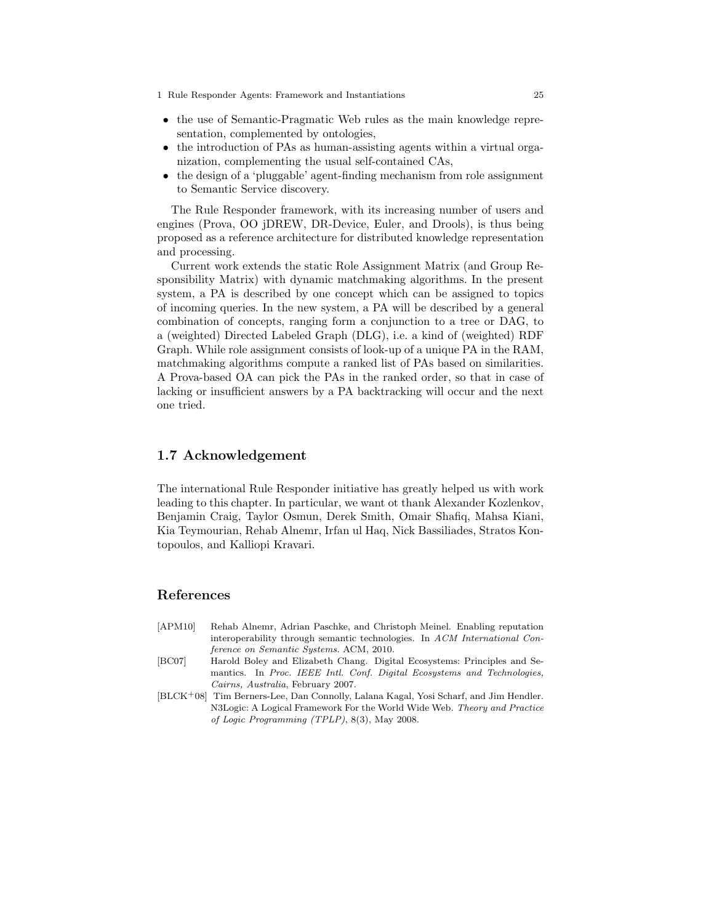- the use of Semantic-Pragmatic Web rules as the main knowledge representation, complemented by ontologies,
- the introduction of PAs as human-assisting agents within a virtual organization, complementing the usual self-contained CAs,
- the design of a 'pluggable' agent-finding mechanism from role assignment to Semantic Service discovery.

The Rule Responder framework, with its increasing number of users and engines (Prova, OO jDREW, DR-Device, Euler, and Drools), is thus being proposed as a reference architecture for distributed knowledge representation and processing.

Current work extends the static Role Assignment Matrix (and Group Responsibility Matrix) with dynamic matchmaking algorithms. In the present system, a PA is described by one concept which can be assigned to topics of incoming queries. In the new system, a PA will be described by a general combination of concepts, ranging form a conjunction to a tree or DAG, to a (weighted) Directed Labeled Graph (DLG), i.e. a kind of (weighted) RDF Graph. While role assignment consists of look-up of a unique PA in the RAM, matchmaking algorithms compute a ranked list of PAs based on similarities. A Prova-based OA can pick the PAs in the ranked order, so that in case of lacking or insufficient answers by a PA backtracking will occur and the next one tried.

### 1.7 Acknowledgement

The international Rule Responder initiative has greatly helped us with work leading to this chapter. In particular, we want ot thank Alexander Kozlenkov, Benjamin Craig, Taylor Osmun, Derek Smith, Omair Shafiq, Mahsa Kiani, Kia Teymourian, Rehab Alnemr, Irfan ul Haq, Nick Bassiliades, Stratos Kontopoulos, and Kalliopi Kravari.

## References

- [APM10] Rehab Alnemr, Adrian Paschke, and Christoph Meinel. Enabling reputation interoperability through semantic technologies. In ACM International Conference on Semantic Systems. ACM, 2010.
- [BC07] Harold Boley and Elizabeth Chang. Digital Ecosystems: Principles and Semantics. In Proc. IEEE Intl. Conf. Digital Ecosystems and Technologies, Cairns, Australia, February 2007.
- [BLCK+08] Tim Berners-Lee, Dan Connolly, Lalana Kagal, Yosi Scharf, and Jim Hendler. N3Logic: A Logical Framework For the World Wide Web. Theory and Practice of Logic Programming (TPLP), 8(3), May 2008.